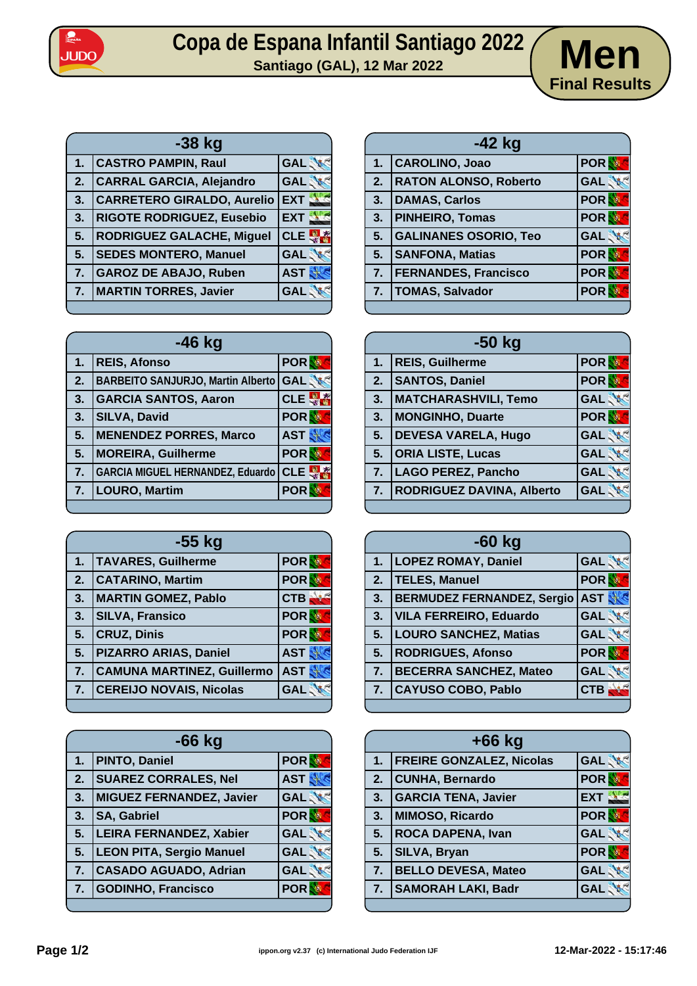

## Copa de Espana Infantil Santiago 2022<br>Santiago (GAL), 12 Mar 2022<br>**Men**



| -38 kg         |                                   |                  |
|----------------|-----------------------------------|------------------|
| 1.             | <b>CASTRO PAMPIN, Raul</b>        | <b>GAL</b>       |
| 2.             | <b>CARRAL GARCIA, Alejandro</b>   | <b>GAL</b>       |
| 3.             | <b>CARRETERO GIRALDO, Aurelio</b> | EXT <sup>3</sup> |
| 3.             | <b>RIGOTE RODRIGUEZ, Eusebio</b>  | EXT S            |
| 5.             | <b>RODRIGUEZ GALACHE, Miguel</b>  | <b>CLE</b>       |
| 5.             | <b>SEDES MONTERO, Manuel</b>      | <b>GAL</b>       |
| $\mathbf{7}$ . | <b>GAROZ DE ABAJO, Ruben</b>      | <b>AST</b>       |
| 7.             | <b>MARTIN TORRES, Javier</b>      | <b>GAL</b>       |
|                |                                   |                  |

| $-46$ kg |                                          |            |
|----------|------------------------------------------|------------|
| 1.       | <b>REIS, Afonso</b>                      | <b>POR</b> |
| 2.       | <b>BARBEITO SANJURJO, Martin Alberto</b> | <b>GAL</b> |
| 3.       | <b>GARCIA SANTOS, Aaron</b>              | CLE        |
| 3.       | <b>SILVA, David</b>                      | <b>POR</b> |
| 5.       | <b>MENENDEZ PORRES, Marco</b>            | <b>AST</b> |
| 5.       | <b>MOREIRA, Guilherme</b>                | <b>POR</b> |
| 7.       | <b>GARCIA MIGUEL HERNANDEZ, Eduardo</b>  | <b>CLE</b> |
| 7.       | <b>LOURO, Martim</b>                     | <b>POR</b> |
|          |                                          |            |

| $-55$ kg |                                   |            |
|----------|-----------------------------------|------------|
| 1.       | <b>TAVARES, Guilherme</b>         | <b>POR</b> |
| 2.       | <b>CATARINO, Martim</b>           | <b>POR</b> |
| 3.       | <b>MARTIN GOMEZ, Pablo</b>        | CTB        |
| 3.       | <b>SILVA, Fransico</b>            | <b>POR</b> |
| 5.       | <b>CRUZ, Dinis</b>                | <b>POR</b> |
| 5.       | <b>PIZARRO ARIAS, Daniel</b>      | <b>AST</b> |
| 7.       | <b>CAMUNA MARTINEZ, Guillermo</b> | <b>AST</b> |
| 7.       | <b>CEREIJO NOVAIS, Nicolas</b>    | <b>GAL</b> |
|          |                                   |            |

| -66 kg           |                                 |            |
|------------------|---------------------------------|------------|
| 1.               | PINTO, Daniel                   | <b>POR</b> |
| $\mathbf{2}$     | <b>SUAREZ CORRALES, Nel</b>     | <b>AST</b> |
| 3.               | <b>MIGUEZ FERNANDEZ, Javier</b> | <b>GAL</b> |
| 3.               | <b>SA, Gabriel</b>              | <b>POR</b> |
| 5.               | <b>LEIRA FERNANDEZ, Xabier</b>  | <b>GAL</b> |
| $\overline{5}$ . | <b>LEON PITA, Sergio Manuel</b> | <b>GAL</b> |
| $\overline{7}$ . | <b>CASADO AGUADO, Adrian</b>    | <b>GAL</b> |
| 7.               | <b>GODINHO, Francisco</b>       | <b>POR</b> |
|                  |                                 |            |

| $-42$ kg |                              |            |
|----------|------------------------------|------------|
| 1.       | CAROLINO, Joao               | <b>POR</b> |
| 2.       | <b>RATON ALONSO, Roberto</b> | <b>GAL</b> |
| 3.       | <b>DAMAS, Carlos</b>         | <b>POR</b> |
| 3.       | <b>PINHEIRO, Tomas</b>       | <b>POR</b> |
| 5.       | <b>GALINANES OSORIO, Teo</b> | <b>GAL</b> |
| 5.       | <b>SANFONA, Matias</b>       | <b>POR</b> |
| 7.       | <b>FERNANDES, Francisco</b>  | <b>POR</b> |
| 7.       | <b>TOMAS, Salvador</b>       | <b>POR</b> |
|          |                              |            |

| $-50$ kg |                                  |            |
|----------|----------------------------------|------------|
| 1.       | <b>REIS, Guilherme</b>           | <b>POR</b> |
| 2.       | <b>SANTOS, Daniel</b>            | <b>POR</b> |
| 3.       | MATCHARASHVILI, Temo             | <b>GAL</b> |
| 3.       | <b>MONGINHO, Duarte</b>          | <b>POR</b> |
| 5.       | <b>DEVESA VARELA, Hugo</b>       | <b>GAL</b> |
| 5.       | <b>ORIA LISTE, Lucas</b>         | <b>GAL</b> |
| 7.       | LAGO PEREZ, Pancho               | <b>GAL</b> |
| 7.       | <b>RODRIGUEZ DAVINA, Alberto</b> | <b>GAL</b> |
|          |                                  |            |

| -60 kg |                                   |            |
|--------|-----------------------------------|------------|
| 1.     | <b>LOPEZ ROMAY, Daniel</b>        | <b>GAL</b> |
| 2.     | TELES, Manuel                     | <b>POR</b> |
| 3.     | <b>BERMUDEZ FERNANDEZ, Sergio</b> | <b>AST</b> |
| 3.     | <b>VILA FERREIRO, Eduardo</b>     | <b>GAL</b> |
| 5.     | <b>LOURO SANCHEZ, Matias</b>      | <b>GAL</b> |
| 5.     | <b>RODRIGUES, Afonso</b>          | <b>POR</b> |
| 7.     | <b>BECERRA SANCHEZ, Mateo</b>     | <b>GAL</b> |
| 7.     | <b>CAYUSO COBO, Pablo</b>         | <b>CTB</b> |
|        |                                   |            |

| $+66$ kg |                               |            |
|----------|-------------------------------|------------|
|          | 1.   FREIRE GONZALEZ, Nicolas | <b>GAL</b> |
|          | 2. CUNHA, Bernardo            | <b>POR</b> |
|          | 3. GARCIA TENA, Javier        | EXT S      |
| 3.       | MIMOSO, Ricardo               | <b>POR</b> |
| 5.       | <b>ROCA DAPENA, Ivan</b>      | <b>GAL</b> |
| 5.       | <b>SILVA, Bryan</b>           | <b>POR</b> |
| 7.       | <b>BELLO DEVESA, Mateo</b>    | <b>GAL</b> |
| 7.       | <b>SAMORAH LAKI, Badr</b>     | <b>GAL</b> |
|          |                               |            |